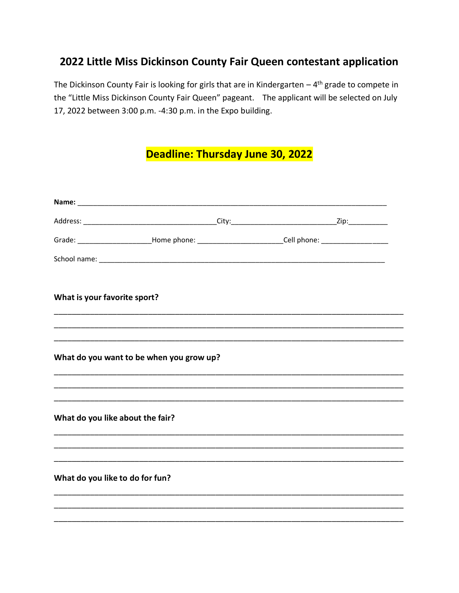## 2022 Little Miss Dickinson County Fair Queen contestant application

The Dickinson County Fair is looking for girls that are in Kindergarten  $-4$ <sup>th</sup> grade to compete in the "Little Miss Dickinson County Fair Queen" pageant. The applicant will be selected on July 17, 2022 between 3:00 p.m. -4:30 p.m. in the Expo building.

## Deadline: Thursday June 30, 2022

|                                  |                                          | Grade: ________________________Home phone: ____________________________Cell phone: ______________________ |  |
|----------------------------------|------------------------------------------|-----------------------------------------------------------------------------------------------------------|--|
|                                  |                                          |                                                                                                           |  |
| What is your favorite sport?     |                                          |                                                                                                           |  |
|                                  |                                          |                                                                                                           |  |
|                                  |                                          |                                                                                                           |  |
|                                  | What do you want to be when you grow up? |                                                                                                           |  |
|                                  |                                          |                                                                                                           |  |
| What do you like about the fair? |                                          |                                                                                                           |  |
|                                  |                                          |                                                                                                           |  |
|                                  |                                          |                                                                                                           |  |
| What do you like to do for fun?  |                                          |                                                                                                           |  |
|                                  |                                          |                                                                                                           |  |
|                                  |                                          |                                                                                                           |  |
|                                  |                                          |                                                                                                           |  |